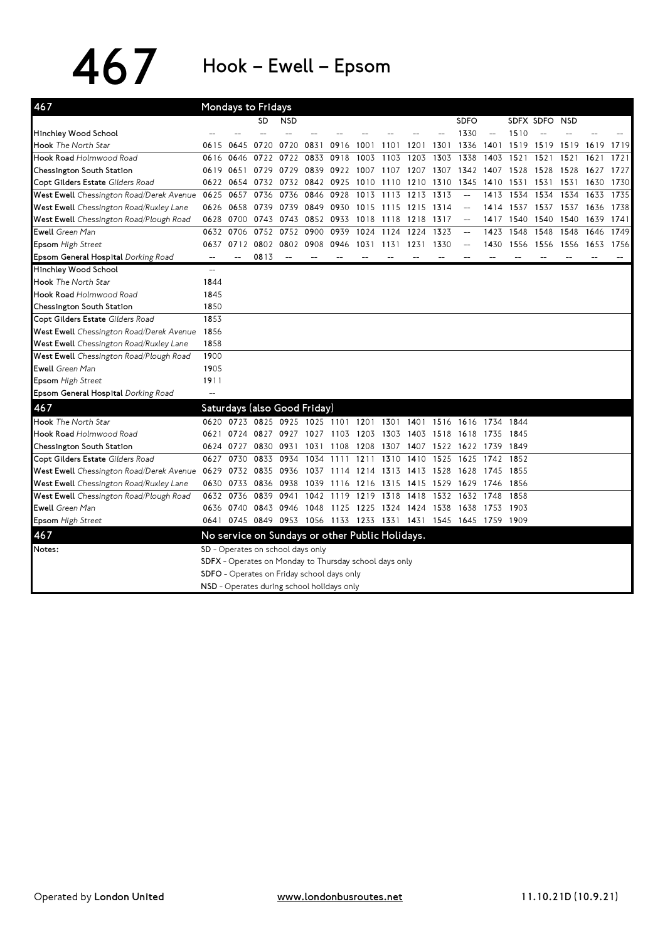## $467$  Hook – Ewell – Epsom

| 467                                      | Mondays to Fridays                                                                       |           |                              |                |                     |                                                             |           |           |                     |      |                                    |      |           |               |           |      |      |
|------------------------------------------|------------------------------------------------------------------------------------------|-----------|------------------------------|----------------|---------------------|-------------------------------------------------------------|-----------|-----------|---------------------|------|------------------------------------|------|-----------|---------------|-----------|------|------|
|                                          |                                                                                          |           | SD                           | <b>NSD</b>     |                     |                                                             |           |           |                     |      | <b>SDFO</b>                        |      |           | SDFX SDFO NSD |           |      |      |
| Hinchley Wood School                     |                                                                                          |           |                              |                |                     |                                                             |           |           |                     |      | 1330                               |      | 1510      |               |           |      |      |
| <b>Hook</b> The North Star               | 0615                                                                                     | 0645      | 0720                         | 0720           | 0831                | 0916                                                        | 1001      | 1101      | 1201                | 1301 | 1336                               | 1401 | 1519      | 1519          | 1519      | 1619 | 1719 |
| Hook Road Holmwood Road                  | 0616                                                                                     | 0646      | 0722                         | 0722           | 0833                | 0918                                                        | 1003      | 1103      | 1203                | 1303 | 1338                               | 1403 | 1521      | 1521          | 1521      | 1621 | 1721 |
| Chessington South Station                | 0619                                                                                     | 0651      | 0729                         | 0729           | 0839                | 0922                                                        | 1007      | 1107      | 1207                | 1307 | 1342                               | 1407 | 1528      | 1528          | 1528      | 1627 | 1727 |
| Copt Gilders Estate Gilders Road         |                                                                                          | 0622 0654 | 0732                         |                | 0732 0842           | 0925                                                        |           | 1010 1110 | 1210                | 1310 | 1345                               | 1410 | 1531      | 1531          | 1531      | 1630 | 1730 |
| West Ewell Chessington Road/Derek Avenue | 0625                                                                                     | 0657      | 0736                         | 0736           | 0846                | 0928                                                        |           | 1013 1113 | 1213                | 1313 | $\overline{\phantom{a}}$           | 1413 | 1534      | 1534          | 1534      | 1633 | 1735 |
| West Ewell Chessington Road/Ruxley Lane  | 0626                                                                                     | 0658      | 0739                         |                | 0739 0849 0930      |                                                             |           | 1015 1115 | 1215                | 1314 | $\overline{a}$                     | 1414 | 1537      |               | 1537 1537 | 1636 | 1738 |
| West Ewell Chessington Road/Plough Road  |                                                                                          | 0628 0700 |                              |                | 0743 0743 0852 0933 |                                                             |           | 1018 1118 | 1218                | 1317 | $\hspace{0.05cm}--\hspace{0.05cm}$ |      | 1417 1540 | 1540          | 1540      | 1639 | 1741 |
| Ewell Green Man                          |                                                                                          | 0632 0706 |                              | 0752 0752 0900 |                     | 0939                                                        | 1024      | 1124      | 1224                | 1323 | $\overline{\phantom{a}}$           | 1423 | 1548      | 1548          | 1548      | 1646 | 1749 |
| Epsom High Street                        | 0637                                                                                     | 0712      |                              |                | 0802 0802 0908 0946 |                                                             |           |           | 1031 1131 1231 1330 |      | --                                 | 1430 | 1556      | 1556          | 1556      | 1653 | 1756 |
| Epsom General Hospital Dorking Road      | $\sim$                                                                                   |           | 0813                         |                |                     |                                                             |           |           |                     |      |                                    |      |           |               |           |      |      |
| Hinchley Wood School                     | $-$                                                                                      |           |                              |                |                     |                                                             |           |           |                     |      |                                    |      |           |               |           |      |      |
| <b>Hook</b> The North Star               | 1844                                                                                     |           |                              |                |                     |                                                             |           |           |                     |      |                                    |      |           |               |           |      |      |
| Hook Road Holmwood Road                  | 1845                                                                                     |           |                              |                |                     |                                                             |           |           |                     |      |                                    |      |           |               |           |      |      |
| Chessington South Station                | 1850                                                                                     |           |                              |                |                     |                                                             |           |           |                     |      |                                    |      |           |               |           |      |      |
| Copt Gilders Estate Gilders Road         | 1853                                                                                     |           |                              |                |                     |                                                             |           |           |                     |      |                                    |      |           |               |           |      |      |
| West Ewell Chessington Road/Derek Avenue | 1856                                                                                     |           |                              |                |                     |                                                             |           |           |                     |      |                                    |      |           |               |           |      |      |
| West Ewell Chessington Road/Ruxley Lane  | 1858                                                                                     |           |                              |                |                     |                                                             |           |           |                     |      |                                    |      |           |               |           |      |      |
| West Ewell Chessington Road/Plough Road  | 1900                                                                                     |           |                              |                |                     |                                                             |           |           |                     |      |                                    |      |           |               |           |      |      |
| Ewell Green Man                          | 1905                                                                                     |           |                              |                |                     |                                                             |           |           |                     |      |                                    |      |           |               |           |      |      |
| Epsom High Street                        | 1911                                                                                     |           |                              |                |                     |                                                             |           |           |                     |      |                                    |      |           |               |           |      |      |
| Epsom General Hospital Dorking Road      | $\overline{\phantom{m}}$                                                                 |           |                              |                |                     |                                                             |           |           |                     |      |                                    |      |           |               |           |      |      |
| 467                                      |                                                                                          |           | Saturdays (also Good Friday) |                |                     |                                                             |           |           |                     |      |                                    |      |           |               |           |      |      |
| Hook The North Star                      | 0620                                                                                     |           |                              |                |                     | 0723 0825 0925 1025 1101 1201 1301 1401                     |           |           |                     | 1516 | 1616                               | 1734 | 1844      |               |           |      |      |
| Hook Road Holmwood Road                  | 0621                                                                                     | 0724      |                              |                |                     | 0827 0927 1027 1103 1203 1303                               |           |           | 1403                | 1518 | 1618                               | 1735 | 1845      |               |           |      |      |
| Chessington South Station                |                                                                                          |           | 0624 0727 0830 0931          |                | 1031                | 1108                                                        | 1208 1307 |           | 1407                | 1522 | 1622                               | 1739 | 1849      |               |           |      |      |
| Copt Gilders Estate Gilders Road         | 0627                                                                                     | 0730      | 0833                         | 0934           |                     | 1034 1111 1211 1310                                         |           |           | 1410                | 1525 | 1625                               | 1742 | 1852      |               |           |      |      |
| West Ewell Chessington Road/Derek Avenue | 0629                                                                                     |           | 0732 0835                    | 0936           |                     | 1037 1114 1214 1313 1413 1528                               |           |           |                     |      | 1628                               | 1745 | 1855      |               |           |      |      |
| West Ewell Chessington Road/Ruxley Lane  |                                                                                          | 0630 0733 |                              |                |                     | 0836 0938 1039 1116 1216 1315 1415 1529 1629 1746           |           |           |                     |      |                                    |      | 1856      |               |           |      |      |
| West Ewell Chessington Road/Plough Road  | 0632                                                                                     | 0736      | 0839                         | 0941           |                     | 1042 1119 1219 1318                                         |           |           | 1418                |      | 1532 1632 1748                     |      | 1858      |               |           |      |      |
| Ewell Green Man                          |                                                                                          | 0636 0740 |                              |                |                     | 0843 0946 1048 1125 1225 1324 1424 1538 1638                |           |           |                     |      |                                    | 1753 | 1903      |               |           |      |      |
| Epsom High Street                        | 0641                                                                                     |           |                              |                |                     | 0745 0849 0953 1056 1133 1233 1331 1431 1545 1645 1759 1909 |           |           |                     |      |                                    |      |           |               |           |      |      |
| 467                                      |                                                                                          |           |                              |                |                     |                                                             |           |           |                     |      |                                    |      |           |               |           |      |      |
| Notes:                                   | No service on Sundays or other Public Holidays.<br>SD - Operates on school days only     |           |                              |                |                     |                                                             |           |           |                     |      |                                    |      |           |               |           |      |      |
|                                          | SDFX - Operates on Monday to Thursday school days only                                   |           |                              |                |                     |                                                             |           |           |                     |      |                                    |      |           |               |           |      |      |
|                                          |                                                                                          |           |                              |                |                     |                                                             |           |           |                     |      |                                    |      |           |               |           |      |      |
|                                          | SDFO - Operates on Friday school days only<br>NSD - Operates during school holidays only |           |                              |                |                     |                                                             |           |           |                     |      |                                    |      |           |               |           |      |      |